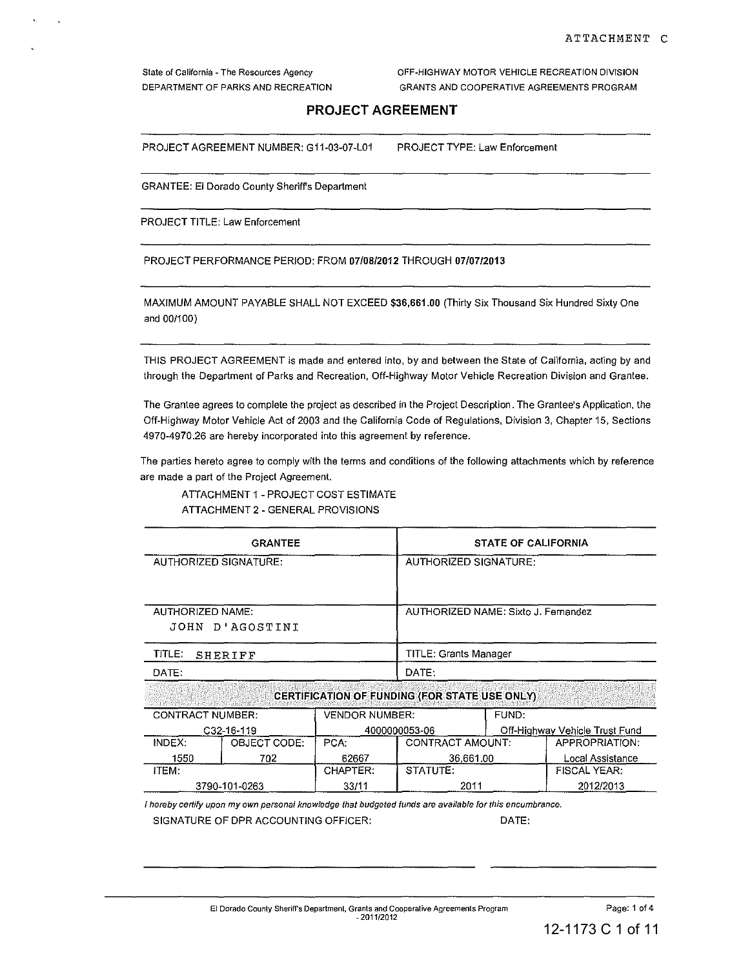**State of California - The Resources Agency**  DEPARTMENT OF PARKS AND RECREATION OFF-HIGHWAY MOTOR VEHICLE RECREATION DIVISION GRANTS AND COOPERATIVE AGREEMENTS PROGRAM

# **PROJECT AGREEMENT**

PROJECT AGREEMENT NUMBER: G11-03-07-L01 PROJECT TYPE: Law Enforcement

GRANTEE: EI Dorado County Sheriffs Department

PROJECT TITLE: Law Enforcement

PROJECT PERFORMANCE PERIOD: FROM 07/08/2012 THROUGH 07/0712013

MAXIMUM AMOUNT PAYABLE SHALL NOT EXCEED \$36,661.00 (Thirty Six Thousand Six Hundred Sixty One and 001100)

**THIS PROJECT AGREEMENT is made and entered into, by and between the State of California, acting by and through the Department of Parks and Recreation, Off-Highway Motor Vehicle Recreation Division and Grantee.** 

**The Grantee agrees to complete the project as described in the Project Description. The Grantee's Application, the Off-Highway Motor Vehicle Act of 2003 and the California Code of Regulations, Division 3, Chapter 15, Sections 4970-4970.26 are hereby incorporated into this agreement by reference.** 

**The parties hereto agree to comply with the terms and conditions of the following attachments which by reference are made a part of the Project Agreement.** 

ATTACHMENT 1 - PROJECT COST ESTIMATE ATTACHMENT 2 - GENERAL PROVISIONS

|                                | <b>GRANTEE</b>  |                         | <b>STATE OF CALIFORNIA</b>                    |                                |                     |  |  |
|--------------------------------|-----------------|-------------------------|-----------------------------------------------|--------------------------------|---------------------|--|--|
| AUTHORIZED SIGNATURE:          |                 |                         | AUTHORIZED SIGNATURE:                         |                                |                     |  |  |
| AUTHORIZED NAME:               | JOHN D'AGOSTINI |                         | AUTHORIZED NAME: Sixto J. Fernandez           |                                |                     |  |  |
| TITLE:<br><b>SHERIFF</b>       |                 |                         | <b>TITLE: Grants Manager</b>                  |                                |                     |  |  |
| DATE:                          |                 |                         | DATE:                                         |                                |                     |  |  |
|                                |                 |                         | CERTIFICATION OF FUNDING (FOR STATE USE ONLY) |                                |                     |  |  |
| <b>CONTRACT NUMBER:</b>        |                 | <b>VENDOR NUMBER:</b>   |                                               | FUND:                          |                     |  |  |
|                                | C32-16-119      | 4000000053-06           |                                               | Off-Highway Vehicle Trust Fund |                     |  |  |
| OBJECT CODE:<br>INDEX:<br>PCA: |                 | <b>CONTRACT AMOUNT:</b> |                                               | APPROPRIATION:                 |                     |  |  |
| 1550                           | 702             | 62667                   | 36,661.00                                     | Local Assistance               |                     |  |  |
| ITEM:                          |                 | CHAPTER:                | STATUTE:                                      |                                | <b>FISCAL YEAR:</b> |  |  |

ITEM:  $\begin{array}{|c|c|c|c|c|c|}\n\hline\n\end{array}$  CHAPTER: STATUTE:  $\begin{array}{|c|c|c|c|c|c|c|c|}\n\hline\n\end{array}$  FISCAL YEAR:

3790-101-0263 33/11 2011 2012/2013

**I hereby cerlify upon my own personal knowledge that budgeted funds are available for this encumbrance.**  SIGNATURE OF DPR ACCOUNTING OFFICER: DATE: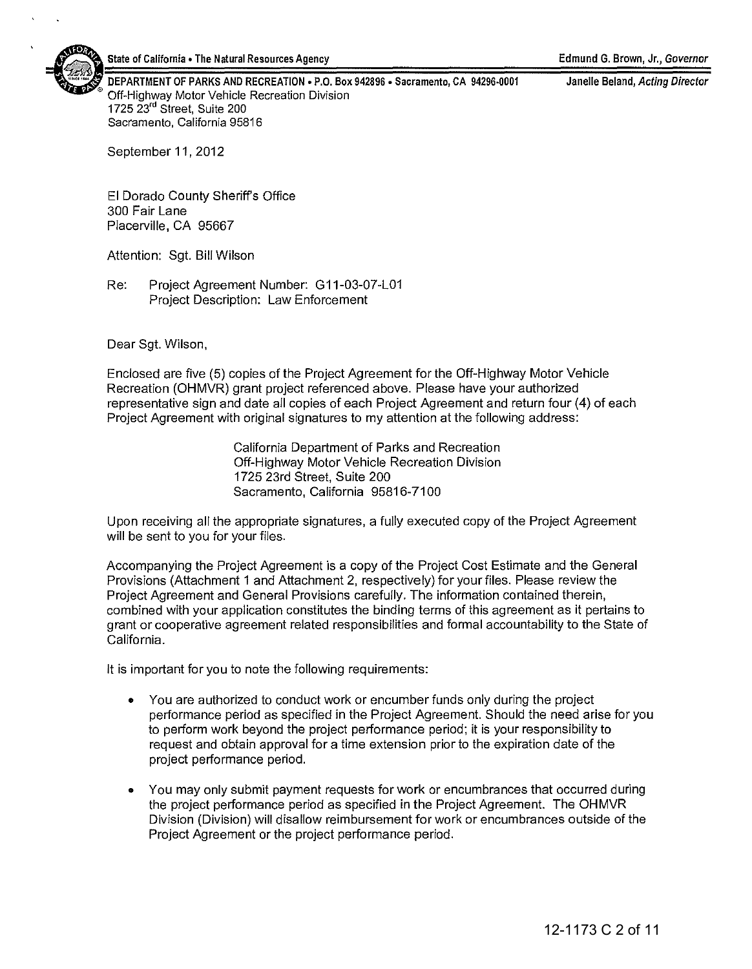

DEPARTMENT OF PARKS AND RECREATION . P.O. Box 942896 . Sacramento, CA 94296-0001 Off-Highway Motor Vehicle Recreation Division 1725 23'd Street, Suite 200 Sacramento, California 95816

Janelle Beland, Acting Director

September 11, 2012

El Dorado County Sheriff's Office 300 Fair Lane Placerville, CA 95667

Attention: Sgt. Bill Wilson

Re: Project Agreement Number: G11-03-07-L01 Project Description: Law Enforcement

Dear Sgt. Wilson,

Enclosed are five (5) copies of the Project Agreement for the Off-Highway Motor Vehicle Recreation (OHMVR) grant project referenced above. Please have your authorized representative sign and date all copies of each Project Agreement and return four (4) of each Project Agreement with original signatures to my attention at the following address:

> California Department of Parks and Recreation Off-Highway Motor Vehicle Recreation Division 1725 23rd Street, Suite 200 Sacramento, California 95816-7100

Upon receiving all the appropriate signatures, a fully executed copy of the Project Agreement will be sent to you for your files.

Accompanying the Project Agreement is a copy of the Project Cost Estimate and the General Provisions (Attachment 1 and Attachment 2, respectively) for your files. Please review the Project Agreement and General Provisions carefully. The information contained therein, combined with your application constitutes the binding terms of this agreement as it pertains to grant or cooperative agreement related responsibilities and formal accountability to the State of California.

It is important for you to note the following requirements:

- You are authorized to conduct work or encumber funds only during the project performance period as specified in the Project Agreement. Should the need arise for you to perform work beyond the project performance period; it is your responsibility to request and obtain approval for a time extension prior to the expiration date of the project performance period.
- You may only submit payment requests for work or encumbrances that occurred during the project performance period as specified in the Project Agreement. The OHMVR Division (Division) will disallow reimbursement for work or encumbrances outside of the Project Agreement or the project performance period.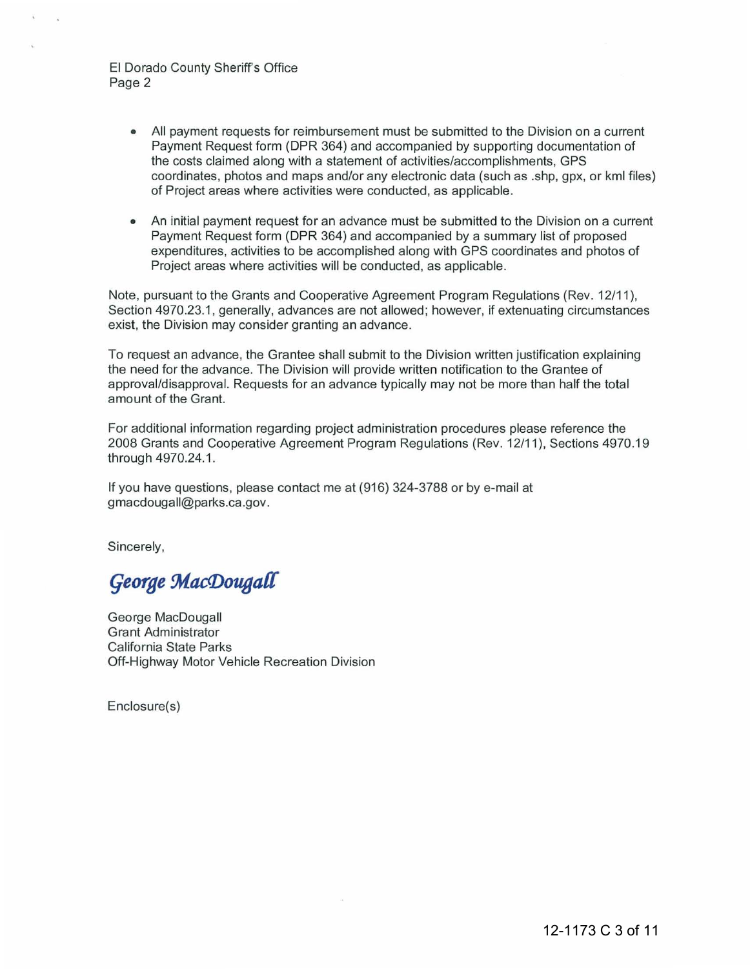## EI Dorado County Sheriffs Office Page 2

- All payment requests for reimbursement must be submitted to the Division on a current Payment Request form (DPR 364) and accompanied by supporting documentation of the costs claimed along with a statement of activities/accomplishments, GPS coordinates, photos and maps and/or any electronic data (such as .shp, gpx, or kml files) of Project areas where activities were conducted, as applicable.
- An initial payment request for an advance must be submitted to the Division on a current Payment Request form (DPR 364) and accompanied by a summary list of proposed expenditures, activities to be accomplished along with GPS coordinates and photos of Project areas where activities will be conducted, as applicable.

Note, pursuant to the Grants and Cooperative Agreement Program Regulations (Rev. 12/11), Section 4970.23.1 , generally, advances are not allowed; however, if extenuating circumstances exist, the Division may consider granting an advance.

To request an advance, the Grantee shall submit to the Division written justification explaining the need for the advance. The Division will provide written notification to the Grantee of approval/disapproval. Requests for an advance typically may not be more than half the total amount of the Grant.

For additional information regarding project administration procedures please reference the 2008 Grants and Cooperative Agreement Program Regulations (Rev. 12/11), Sections 4970.19 through 4970.24.1.

If you have questions, please contact me at (916) 324-3788 or by e-mail at gmacdougall@parks.ca .gov.

Sincerely,

George MacDougall

George MacDougall Grant Administrator California State Parks Off-Highway Motor Vehicle Recreation Division

Enclosure(s)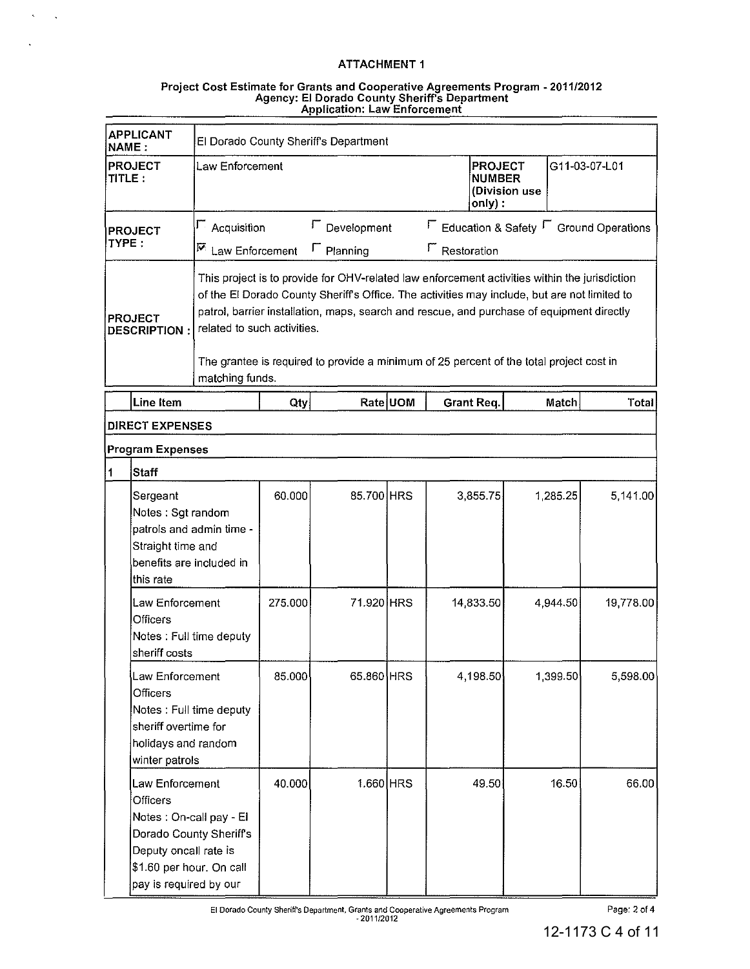$\mathcal{N} \subset \mathcal{N}$ 

#### Project Cost Estimate for Grants and Cooperative Agreements Program - 2011/2012 Agency: EI Dorado County Sheriff's Department Application' Law Enforcement

| <b>APPLICANT</b><br><b>NAME:</b>            |                                                                                                                                                                  | El Dorado County Sheriff's Department   |                             |                                  |          |                                                                                                                                                                                                                                                                                                                                                                                       |                                                        |               |  |  |
|---------------------------------------------|------------------------------------------------------------------------------------------------------------------------------------------------------------------|-----------------------------------------|-----------------------------|----------------------------------|----------|---------------------------------------------------------------------------------------------------------------------------------------------------------------------------------------------------------------------------------------------------------------------------------------------------------------------------------------------------------------------------------------|--------------------------------------------------------|---------------|--|--|
| <b>PROJECT</b><br>Law Enforcement<br>TITLE: |                                                                                                                                                                  |                                         |                             |                                  |          | <b>PROJECT</b><br><b>NUMBER</b><br>only):                                                                                                                                                                                                                                                                                                                                             | (Division use                                          | G11-03-07-L01 |  |  |
| TYPE :                                      | <b>PROJECT</b>                                                                                                                                                   | $\Gamma$ Acquisition<br>Law Enforcement |                             | Development<br>$\Gamma$ Planning |          | <b>F</b> Restoration                                                                                                                                                                                                                                                                                                                                                                  | $\Gamma$ Education & Safety $\Gamma$ Ground Operations |               |  |  |
| <b>PROJECT</b><br>DESCRIPTION:              |                                                                                                                                                                  |                                         | related to such activities. |                                  |          | This project is to provide for OHV-related law enforcement activities within the jurisdiction<br>of the El Dorado County Sheriff's Office. The activities may include, but are not limited to<br>patrol, barrier installation, maps, search and rescue, and purchase of equipment directly<br>The grantee is required to provide a minimum of 25 percent of the total project cost in |                                                        |               |  |  |
|                                             |                                                                                                                                                                  | matching funds.                         |                             |                                  |          |                                                                                                                                                                                                                                                                                                                                                                                       |                                                        |               |  |  |
|                                             | Line Item<br><b>DIRECT EXPENSES</b>                                                                                                                              |                                         | Qty                         |                                  | Rate UOM | Grant Req.                                                                                                                                                                                                                                                                                                                                                                            | Match                                                  | Total         |  |  |
|                                             | <b>Program Expenses</b>                                                                                                                                          |                                         |                             |                                  |          |                                                                                                                                                                                                                                                                                                                                                                                       |                                                        |               |  |  |
| $\mathbf 1$                                 | <b>Staff</b>                                                                                                                                                     |                                         |                             |                                  |          |                                                                                                                                                                                                                                                                                                                                                                                       |                                                        |               |  |  |
|                                             | Sergeant<br>Notes: Sgt random<br>patrols and admin time -<br>Straight time and<br>benefits are included in<br>this rate                                          |                                         | 60.000                      | 85.700 HRS                       |          | 3,855.75                                                                                                                                                                                                                                                                                                                                                                              | 1,285.25                                               | 5.141.00      |  |  |
|                                             | Law Enforcement<br>Officers<br>Notes : Full time deputy<br>sheriff costs                                                                                         |                                         | 275.000                     | 71.920 HRS                       |          | 14,833.50                                                                                                                                                                                                                                                                                                                                                                             | 4,944.50                                               | 19,778.00     |  |  |
|                                             | Law Enforcement<br>Officers<br>Notes : Full time deputy<br>sheriff overtime for<br>holidays and random<br>winter patrols                                         |                                         | 85.000                      | 65.860 HRS                       |          | 4,198.50                                                                                                                                                                                                                                                                                                                                                                              | 1,399.50                                               | 5,598.00      |  |  |
|                                             | Law Enforcement<br>Officers<br>Notes: On-call pay - El<br>Dorado County Sheriff's<br>Deputy oncall rate is<br>\$1.60 per hour. On call<br>pay is required by our |                                         | 40.000                      | 1.660 HRS                        |          | 49.50                                                                                                                                                                                                                                                                                                                                                                                 | 16.50                                                  | 66.00         |  |  |

**EI** Dorado County Sheriff's Department, Grants and Cooperative Agreements Program ·2011f2012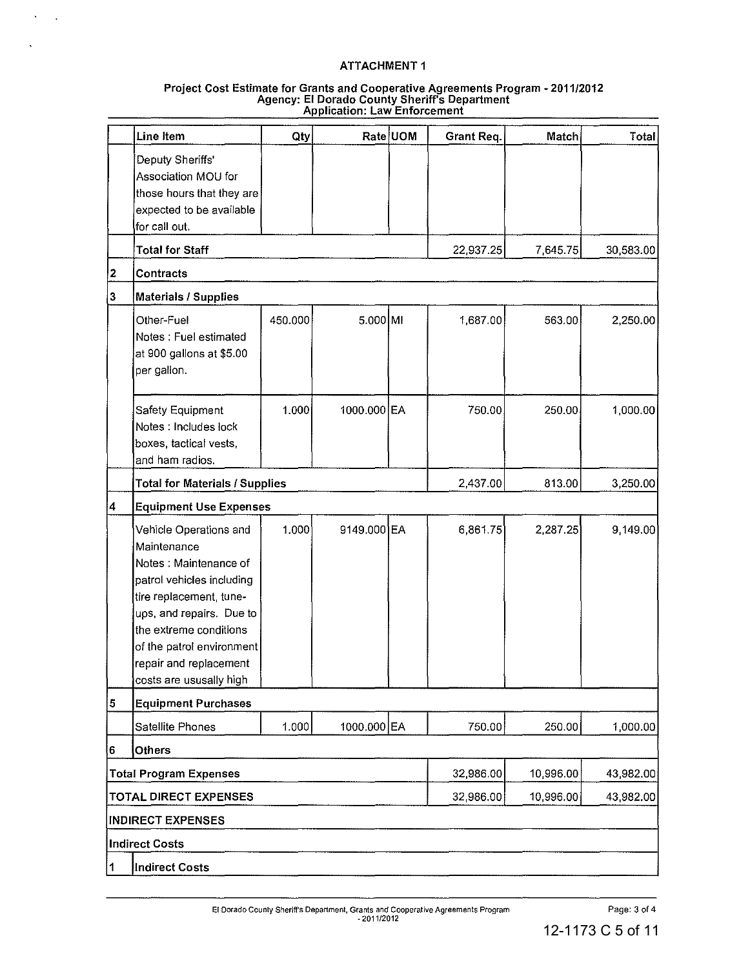$\Delta$  $\sim$   $\sim$ 

 $\mathbf{r}$ 

#### Project Cost Estimate for Grants and Cooperative Agreements Program - 2011/2012 Agency: EI Dorado County Sheriff's Department Application: Law Enforcement

|           | Line Item                                                                                                                                                                                                                                                      | Qty     |                      | Rate UOM | Grant Req. | Match     | Total     |
|-----------|----------------------------------------------------------------------------------------------------------------------------------------------------------------------------------------------------------------------------------------------------------------|---------|----------------------|----------|------------|-----------|-----------|
|           | Deputy Sheriffs'<br>Association MOU for<br>those hours that they are<br>expected to be available<br>for call out.                                                                                                                                              |         |                      |          |            |           |           |
|           | <b>Total for Staff</b>                                                                                                                                                                                                                                         |         |                      |          | 22,937.25  | 7,645.75  | 30,583.00 |
| 2         | <b>Contracts</b>                                                                                                                                                                                                                                               |         |                      |          |            |           |           |
| 3         | Materials / Supplies                                                                                                                                                                                                                                           |         |                      |          |            |           |           |
|           | Other-Fuel<br>Notes : Fuel estimated<br>at 900 gallons at \$5.00<br>per gallon.                                                                                                                                                                                | 450.000 | $5.000 \, \text{MI}$ |          | 1,687.00   | 563.00    | 2,250.00  |
|           | Safety Equipment<br>Notes : Includes lock<br>boxes, tactical vests,<br>and ham radios.                                                                                                                                                                         | 1.000   | 1000.000 EA          |          | 750.00     | 250.00    | 1,000.00  |
|           | <b>Total for Materials / Supplies</b>                                                                                                                                                                                                                          |         |                      |          | 2,437.00   | 813.00    | 3,250.00  |
| 4         | <b>Equipment Use Expenses</b>                                                                                                                                                                                                                                  |         |                      |          |            |           |           |
|           | Vehicle Operations and<br>Maintenance<br>Notes: Maintenance of<br>patrol vehicles including<br>tire replacement, tune-<br>ups, and repairs. Due to<br>the extreme conditions<br>of the patrol environment<br>repair and replacement<br>costs are ususally high | 1.000   | 9149.000 EA          |          | 6,861.75   | 2,287.25  | 9,149.00  |
| $\vert$ 5 | <b>Equipment Purchases</b>                                                                                                                                                                                                                                     |         |                      |          |            |           |           |
|           | Satellite Phones                                                                                                                                                                                                                                               | 1.000   | 1000.000 EA          |          | 750.00     | 250.00    | 1,000.00  |
| 6         | Others                                                                                                                                                                                                                                                         |         |                      |          |            |           |           |
|           | <b>Total Program Expenses</b>                                                                                                                                                                                                                                  |         |                      |          | 32,986.00  | 10,996.00 | 43,982.00 |
|           | <b>TOTAL DIRECT EXPENSES</b>                                                                                                                                                                                                                                   |         |                      |          | 32,986.00  | 10,996.00 | 43,982.00 |
|           | <b>INDIRECT EXPENSES</b>                                                                                                                                                                                                                                       |         |                      |          |            |           |           |
|           | <b>Indirect Costs</b>                                                                                                                                                                                                                                          |         |                      |          |            |           |           |
| 1         | <b>Indirect Costs</b>                                                                                                                                                                                                                                          |         |                      |          |            |           |           |

Page: 3 of 4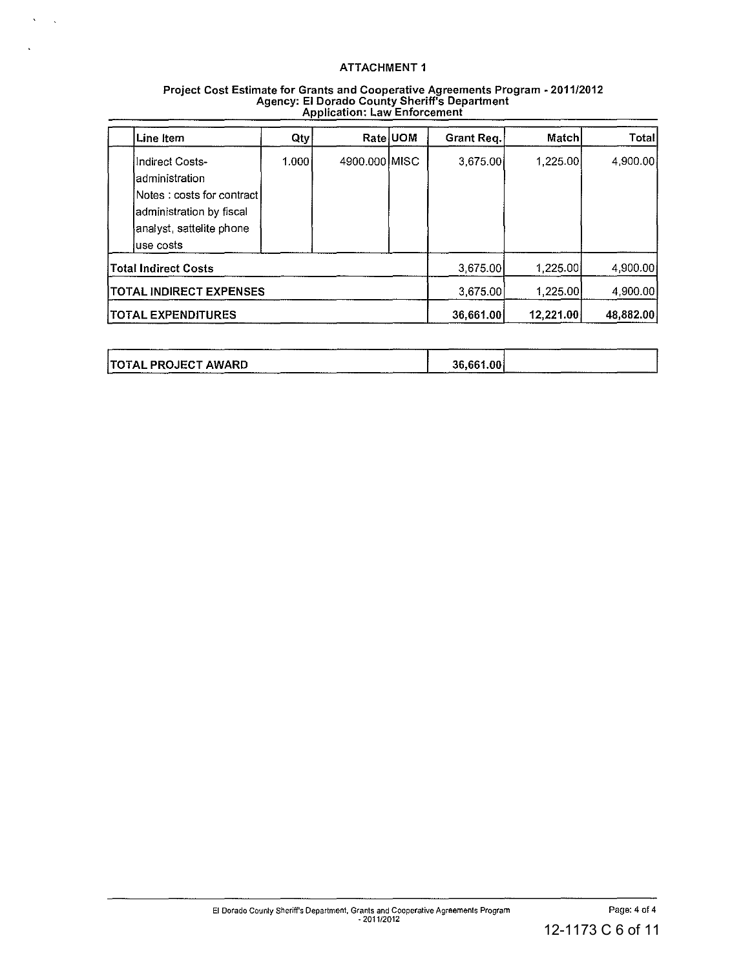$\langle\cdot,\cdot\rangle_{\infty}$ 

 $\mathbf{v}$ 

| Project Cost Estimate for Grants and Cooperative Agreements Program - 2011/2012 |  |
|---------------------------------------------------------------------------------|--|
| <b>Agency: El Dorado County Sheriff's Department</b>                            |  |
| <b>Application: Law Enforcement</b>                                             |  |

| Line Item                                                                                                                                 | Qty   |               | Rate UOM | Grant Req. | Match     | Total     |
|-------------------------------------------------------------------------------------------------------------------------------------------|-------|---------------|----------|------------|-----------|-----------|
| Indirect Costs-<br>ladministration<br>lNotes ∶ costs for contract l<br>administration by fiscal<br>analyst, sattelite phone<br>luse costs | 1.000 | 4900.000 MISC |          | 3,675.00   | 1.225.00  | 4.900.00  |
| <b>Total Indirect Costs</b>                                                                                                               |       |               |          | 3,675.00   | 1,225.00  | 4,900.00  |
| <b>TOTAL INDIRECT EXPENSES</b>                                                                                                            |       |               |          | 3,675.00   | 1.225.00  | 4.900.00  |
| <b>TOTAL EXPENDITURES</b>                                                                                                                 |       |               |          | 36,661.00  | 12,221.00 | 48,882.00 |

| ______________ |                     |  |  |           |            |  |
|----------------|---------------------|--|--|-----------|------------|--|
|                | TOTAL PROJECT AWARD |  |  | 36.661.00 |            |  |
|                |                     |  |  |           |            |  |
|                |                     |  |  |           | __________ |  |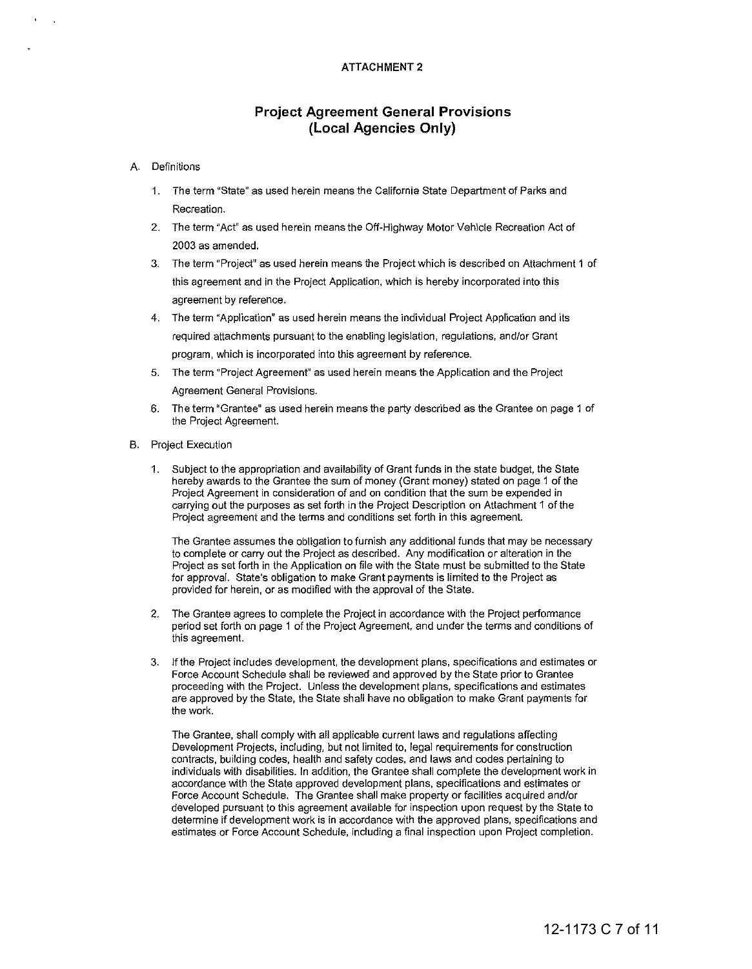# **Project Agreement General Provisions (Local Agencies Only)**

#### **A. Definitions**

- **1. The term "State" as used herein means the California State Department of Parks and Recreation.**
- 2. The term "Act" as used herein means the Off-Highway Motor Vehicle Recreation Act of 2003 as amended.
- **3. The term "Project" as used herein means the Project which is described on Attachment 1 of this agreement and in the Project Application, which is hereby incorporated into this agreement by reference.**
- **4. The term "Application" as used herein means the individual Project Application and its required attachments pursuant to the enabling legislation, regulations, and/or Grant program, which is incorporated into this agreement by reference.**
- **5. The term "Project Agreement" as used herein means the Application and the Project Agreement General Provisions.**
- **6. The term "Grantee" as used herein means the party described as the Grantee on page 1 of**  the Project Agreement
- **B. Project Execution** 
	- 1. Subject to the appropriation and avaitability of Grant funds in the state budget, the State hereby awards to the Grantee the sum of money (Grant money) stated on page 1 of the **Project Agreement in consideration of and on condition that the sum be expended in carrying out the purposes as set forth in the Project Description on Attachment 1 of the Project agreement and the terms and conditions set forth in this agreement.**

**The Grantee assumes the obligation to furnish any additional funds that may be necessary to complete or carry out the Project as described. Any modification or alteration in the**  Project as set forth in the Application on file with the State must be submitted to the State **for approval. State's obligation to make Grant payments is limited to the Project as**  provided for herein, or as modified with the approval of the State.

- **2. The Grantee agrees to complete the Project in accordance with the Project performance period set forth on page 1 of the Project Agreement, and under the terms and conditions of this agreement.**
- **3. If the Project includes development, the development plans, specifications and estimates or**  Force Account Schedule shall be reviewed and approved by the State prior to Grantee **proceeding with the Project. Unless the development plans, specifications and estimates**  are approved by the State, the State shall have no obligation to make Grant payments for the work.

The Grantee, shall compty with all applicable current laws and regutations affecling **Development Projects, including, but not limited to, legal requirements for construction contracts, building codes, health and safety codes, and laws and codes pertaining to**  individuals with disabilities. In addition, the Grantee shatl complete the development work in **accordance with the State approved development plans, specifications and estimates or**  Force Account Schedule. The Grantee shall make property or facilities acquired andlor **developed pursuant to this agreement available for inspection upon request by the State to determine if development work is in accordance with the approved plans, specifications and estimates or Force Account Schedule, including a final inspection upon Project completion.**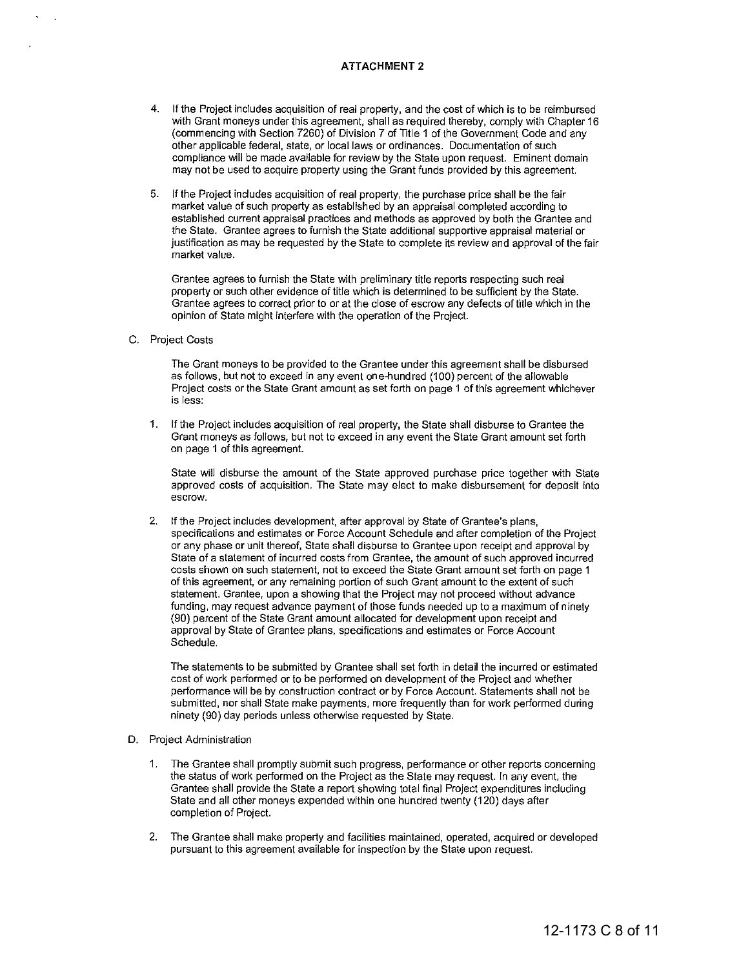- 4. If the Project includes acquisition of real property, and the cost of which is to be reimbursed with Grant moneys under this agreement, shall as required thereby, comply with Chapter 16 (commencing with Section 7260) of Division 7 of "litle 1 of the Government Code and any **other applicable federal, state, or** local laws **or ordinances. Documentation of such compliance will be made available for review by the State upon request. Eminent domain**  may not be used to acquire property using the Grant funds provided by this agreement.
- 5. If the Project includes acquisition of real property, the purchase price shall be the fair **market value of such property as established by an appraisal completed according to**  established current appraisal practices and methods as approved by both the Grantee and **the State. Grantee agrees to furnish the State additional supportive appraisal material or justification as may be requested by the State to complete its review and approval of the fair market value.**

**Grantee agrees to furnish the State with preliminary title reports respecting such real property or such other evidence of title which is determined to be sufficient by the State. Grantee agrees to correct prior to or at the close of escrow any defects of title which in the opinion of State might interfere with the operation of the Project.** 

#### c. Project Costs

**The Grant moneys to be provided to the Grantee under this agreement shall be disbursed**  as follows, but not to exceed in any event one-hundred (100) percent of the allowable **Project costs or the State Grant amount as set forth on page 1** of this **agreement whichever is less:** 

1. If the Project includes acquisition of real property, the State shall disburse to Grantee the **Grant moneys as follows, but not to exceed in any event the State Grant amount set forth on page 1 of this agreement.** 

State will disburse the amount of the State approved purchase price together with State **approved costs of acquisition. The State may elect to make disbursement for deposit into escrow.** 

2. If the Project includes development, after approval by State of Grantee's plans, **specifications and estimates or Force Account Schedule and after completion of the Project or any phase or unit thereof, State shall disburse to Grantee upon receipt and approval by State of a statement of incurred costs from Grantee, the amount of such approved incurred costs shown on such statement, not to exceed the State Grant amount set forth on page 1 of this agreement, or any remaining portion of such Grant amount to the extent of such statement. Grantee, upon a showing that the Project may not proceed without advance funding, may request advance payment of those funds needed up to a maximum of ninety**  (90) percent of the State Grant amount allocated for development upon receipt and **approval by State of Grantee plans, specifications and estimates or Force Account**  Schedule.

The statements to be submitted by Grantee shall set forth in detail the incurred or estimated cost of work performed or to be performed on development of the Project and whether **performance will be by construction contract or by Force Account. Statements shall not be**  submitted, nor shall State make payments, more frequently than for work performed during ninety (90) day periods unless otherwise requested by State.

#### **D. Project Administration**

- **1. The Grantee shall promptly submit such progress, performance or other reports concerning**  the status of work performed on the Project as the State may request. In any event, the Grantee shall provide the State a report showing total final Project expenditures including State and all other moneys expended within one hundred twenty (120) days after **completion of Project.**
- **2. The Grantee shall make property and facilities maintained, operated, acquired or developed pursuant to this agreement available for inspection by the State upon request.**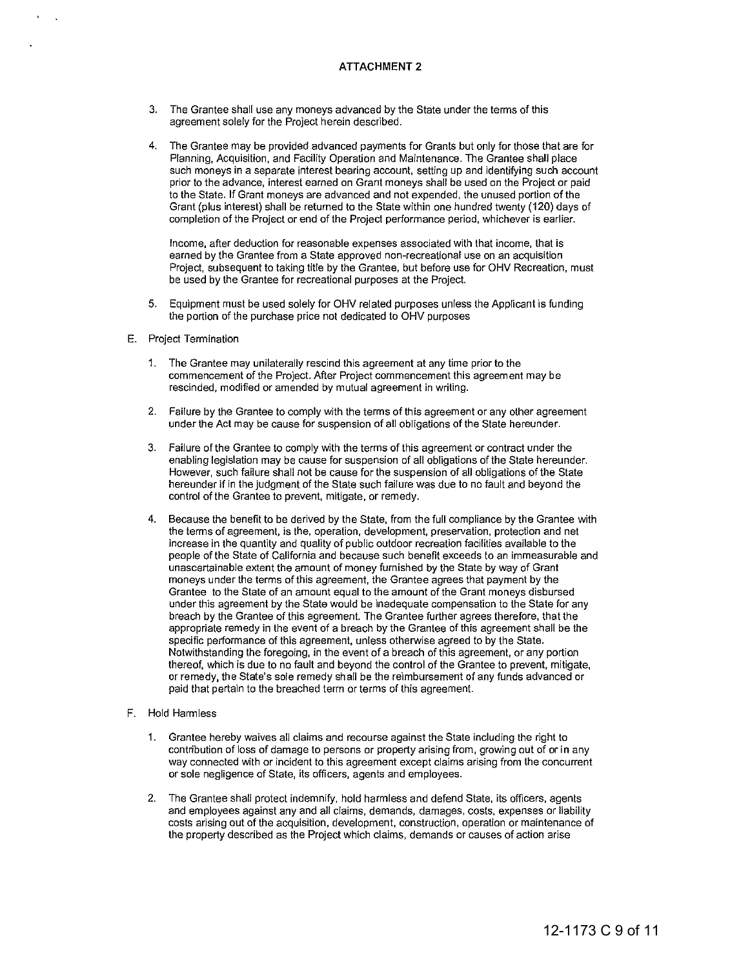- 3. The Grantee shall use any moneys advanced by the State under the terms of this **agreement solely for the Project herein described.**
- 4. The Grantee may be provided advanced payments for Grants but only for those that are for **Planning, Acquisition, and Facility Operation and Maintenance. The Grantee shall place such moneys in a separate interest bearing account, setting up and identifying such account prior to the advance, interest earned on Grant moneys shall be used on the Project or paid to the State. If Grant moneys are advanced and not expended, the unused portion** of the Grant (plus interest) shall be returned to the State within one hundred twenty (120) days of **completion of the Project or end of the Project periormance period, whichever is earlier.**

**Income, after deduction for reasonable expenses associated with that income, that is earned by the Grantee from a State approved non-recreational use on an acquisition**  Project, subsequent to taking title by the Grantee, but before use for OHV Recreation, must **be used by the Grantee for recreational purposes at the Project.** 

- 5. Equipment must be used solely for OHV related purposes unless the Applicant is funding the portion of the purchase price not dedicated to OHV purposes
- **E. Project Termination** 
	- **1. The Grantee may unilaterally rescind this agreement at any time prior to the commencement of the Project. After Project commencement this agreement may be rescinded, modified or amended by mutual agreement in writing.**
	- **2. Failure by the Grantee to comply with the terms of this agreement or any other agreement under the Act may be cause for suspension of all obligations of the State hereunder.**
	- **3. Failure of the Grantee to comply with the terms of this agreement or contract under the enabling legislation may be cause for suspension of all obligations** of the **State hereunder. However, such failure shall not be cause for the suspension of all obligations of the State**  hereunder if in the judgment of the State such failure was due to no fault and beyond the **control of the Grantee to prevent, mitigate, or remedy.**
	- 4. Because the benefit to be derived by the State, from the full compliance by the Grantee with **the terms of agreement, is the, operation, development, preservation, protection and net increase in the quantity and quality of public outdoor recreation facilities available to the people of the State of California and because such benefit exceeds to an immeasurable and**  unascertainable extent the amount of money furnished by the State by way of Grant moneys under the terms of this agreernent, the Grantee agrees that payment by the **Grantee to the State of an amount equal to the amount of the Grant moneys disbursed**  under this agreement by the State would be inadequate compensation to the State for any breach by the Grantee of this agreement. The Grantee further agrees therefore, that the appropriate remedy in the event of a breach by the Grantee of this agreement shall be the **specific performance of this agreement, unless otherwise agreed to by the State. Notwithstanding the foregoing, in the event of a breach of this agreement, or any portion**  thereof, which is due to no fault and beyond the control of the Grantee to prevent, mitigate, **or remedy, the State's sale remedy shall be the reimbursement of any funds advanced or paid that pertain to the breached term or terms of this agreement.**
- F. Hold Harmless
	- **1. Grantee hereby waives all claims and recourse against the State including the right to contribution of loss of damage to persons or property arising from, growing out of or in any way connected with or incident to this agreement except claims arising from the concurrent or sale negligence of State, its officers, agents and employees.**
	- 2. The Grantee shall protect indemnify, hold harmless and defend State, its officers, agents **and employees against any and all claims, demands, damages, costs, expenses or liability costs arising out of the acquisition, development, construction, operation or maintenance of the property described as the Project which claims, demands or causes of action arise**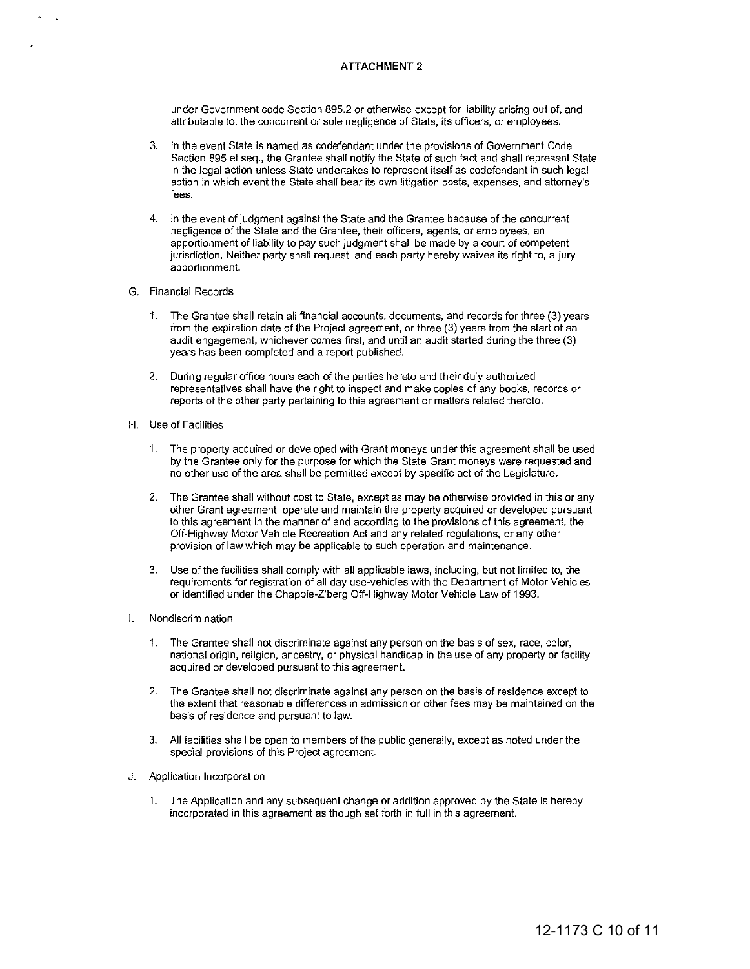**under Government code Section 895.2 or otherwise except for liability arising out of, and attributable to, the concurrent or sale negligence of State, its officers, or employees.** 

- **3. In the event State is named as codefendant under the provisions of Government Code**  Section 895 et seq., the Grantee shall notify the State of such fact and shall represent State **in the legal action unless State undertakes to represent itself as codefendant in such legal**  action in which event the State shall bear its own litigation costs, expenses, and attorney's **fees.**
- **4. In the event of judgment against the State and the Grantee because of the concurrent negligence of the State and the Grantee, their officers, agents, or employees, an**  apportionment of liability to pay such judgment shall be made by a court of competent jurisdiction. Neither party shall request, and each party hereby waives its right to, a jury **apportionment.**
- **G. Financial Records** 
	- **1. The Grantee shall retain all financial accounts, documents, and records for three (3) years**  from the expiration date of the Project agreement, or three (3) years from the start of an audit engagement, whichever comes first, and until an audit started during the three (3) years has been completed and a report published.
	- **2. During regular office hours each of the parties hereto and their duly authorized representatives shall have the right to inspect and make copies of any books, records or reports of the other party pertaining to this agreement or matters related thereto.**
- H. Use of Facilities
	- **1. The property acquired or developed with Grant moneys under this agreement shall be used**  by the Grantee only for the purpose for which the State Grant moneys were requested and no other use of the area shall be permitted except by specific act of the Legislature.
	- **2. The Grantee shall without cost to State, except as may be otherwise provided in this or any other Grant agreement, operate and maintain the property acquired or developed pursuant to this agreement in the manner of and according to the provisions of this agreement, the**  Off-Highway Motor Vehicle Recreation Act and any related regulations, or any other **proVision of law which may be applicable to such operation and maintenance.**
	- 3. Use of the facilities shall comply with all applicable laws, including, but not limited to, the **requirements for registration of all day use-vehicles with the Department of Motor Vehicles**  or identified under the Chappie-Z'berg Off-Highway Motor Vehicle Law of 1993.
- **I. Nondiscrimination** 
	- **1. The Grantee shall not discriminate against any person on the basis of sex, race, color, national origin, religion, ancestry, or physical handicap in the use of any property or facility acquired or developed pursuant to this agreement.**
	- **2. The Grantee shall not discriminate against any person on the basis of residence except to the extent that reasonable differences in admission or other fees may be maintained on the basis of residence and pursuant to law.**
	- 3. All facilities shall be open to members of the public generally, except as noted under the **special provisions of this Project agreement.**
- **J. Application Incorporation** 
	- 1. The Application and any subsequent change or addition approved by the State is hereby **incorporated in this agreement as though set forth in full in this agreement.**